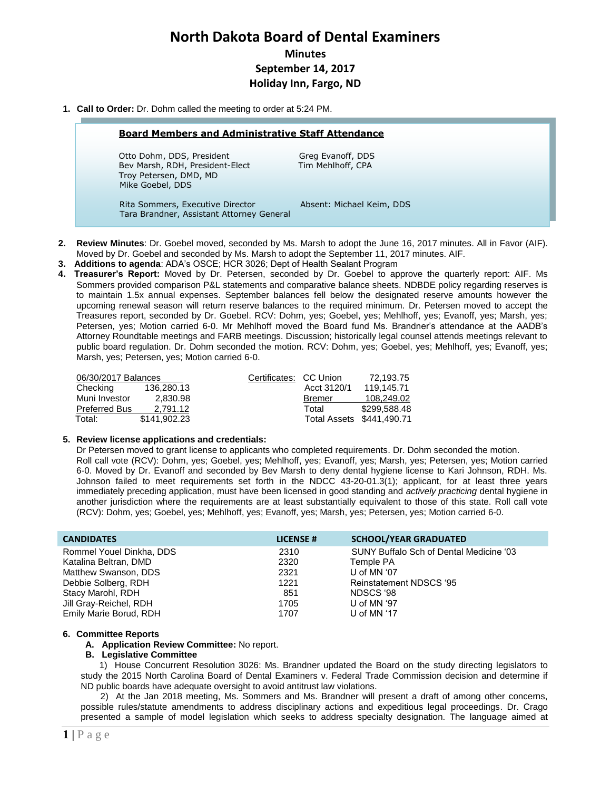# **North Dakota Board of Dental Examiners Minutes September 14, 2017 Holiday Inn, Fargo, ND**

### **1. Call to Order:** Dr. Dohm called the meeting to order at 5:24 PM.

#### **Board Members and Administrative Staff Attendance**

Otto Dohm, DDS, President Greg Evanoff, DDS Bev Marsh, RDH, President-Elect Tim Mehlhoff, CPA Troy Petersen, DMD, MD Mike Goebel, DDS

Rita Sommers, Executive Director **Absent: Michael Keim, DDS** Tara Brandner, Assistant Attorney General

- **2. Review Minutes**: Dr. Goebel moved, seconded by Ms. Marsh to adopt the June 16, 2017 minutes. All in Favor (AIF). Moved by Dr. Goebel and seconded by Ms. Marsh to adopt the September 11, 2017 minutes. AIF.
- **3. Additions to agenda**: ADA's OSCE; HCR 3026; Dept of Health Sealant Program
- **4. Treasurer's Report:** Moved by Dr. Petersen, seconded by Dr. Goebel to approve the quarterly report: AIF. Ms Sommers provided comparison P&L statements and comparative balance sheets. NDBDE policy regarding reserves is to maintain 1.5x annual expenses. September balances fell below the designated reserve amounts however the upcoming renewal season will return reserve balances to the required minimum. Dr. Petersen moved to accept the Treasures report, seconded by Dr. Goebel. RCV: Dohm, yes; Goebel, yes; Mehlhoff, yes; Evanoff, yes; Marsh, yes; Petersen, yes; Motion carried 6-0. Mr Mehlhoff moved the Board fund Ms. Brandner's attendance at the AADB's Attorney Roundtable meetings and FARB meetings. Discussion; historically legal counsel attends meetings relevant to public board regulation. Dr. Dohm seconded the motion. RCV: Dohm, yes; Goebel, yes; Mehlhoff, yes; Evanoff, yes; Marsh, yes; Petersen, yes; Motion carried 6-0.

| 06/30/2017 Balances  |              | Certificates: CC Union |               | 72.193.75                 |
|----------------------|--------------|------------------------|---------------|---------------------------|
| Checking             | 136.280.13   |                        | Acct 3120/1   | 119.145.71                |
| Muni Investor        | 2.830.98     |                        | <b>Bremer</b> | 108.249.02                |
| <b>Preferred Bus</b> | 2.791.12     |                        | Total         | \$299.588.48              |
| Total:               | \$141.902.23 |                        |               | Total Assets \$441,490.71 |

#### **5. Review license applications and credentials:**

Dr Petersen moved to grant license to applicants who completed requirements. Dr. Dohm seconded the motion. Roll call vote (RCV): Dohm, yes; Goebel, yes; Mehlhoff, yes; Evanoff, yes; Marsh, yes; Petersen, yes; Motion carried 6-0. Moved by Dr. Evanoff and seconded by Bev Marsh to deny dental hygiene license to Kari Johnson, RDH. Ms. Johnson failed to meet requirements set forth in the NDCC 43-20-01.3(1); applicant, for at least three years immediately preceding application, must have been licensed in good standing and *actively practicing* dental hygiene in another jurisdiction where the requirements are at least substantially equivalent to those of this state. Roll call vote (RCV): Dohm, yes; Goebel, yes; Mehlhoff, yes; Evanoff, yes; Marsh, yes; Petersen, yes; Motion carried 6-0.

| <b>CANDIDATES</b>        | <b>LICENSE #</b> | <b>SCHOOL/YEAR GRADUATED</b>            |
|--------------------------|------------------|-----------------------------------------|
| Rommel Youel Dinkha, DDS | 2310             | SUNY Buffalo Sch of Dental Medicine '03 |
| Katalina Beltran, DMD    | 2320             | Temple PA                               |
| Matthew Swanson, DDS     | 2321             | U of MN $'07$                           |
| Debbie Solberg, RDH      | 1221             | Reinstatement NDSCS '95                 |
| Stacy Marohl, RDH        | 851              | NDSCS '98                               |
| Jill Gray-Reichel, RDH   | 1705             | U of MN '97                             |
| Emily Marie Borud, RDH   | 1707             | U of MN $47$                            |

#### **6. Committee Reports**

#### **A. Application Review Committee:** No report.

# **B. Legislative Committee**

1) House Concurrent Resolution 3026: Ms. Brandner updated the Board on the study directing legislators to study the 2015 North Carolina Board of Dental Examiners v. Federal Trade Commission decision and determine if ND public boards have adequate oversight to avoid antitrust law violations.

 2) At the Jan 2018 meeting, Ms. Sommers and Ms. Brandner will present a draft of among other concerns, possible rules/statute amendments to address disciplinary actions and expeditious legal proceedings. Dr. Crago presented a sample of model legislation which seeks to address specialty designation. The language aimed at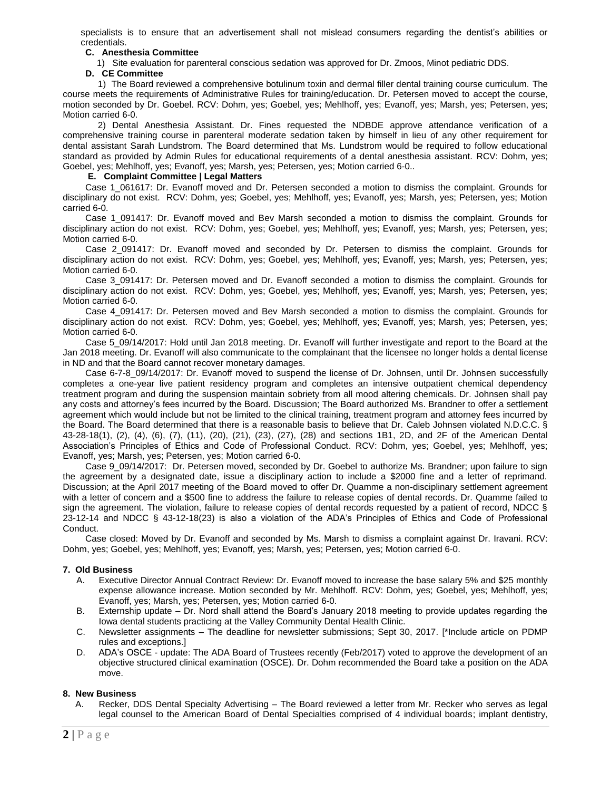specialists is to ensure that an advertisement shall not mislead consumers regarding the dentist's abilities or credentials.

# **C. Anesthesia Committee**

1) Site evaluation for parenteral conscious sedation was approved for Dr. Zmoos, Minot pediatric DDS.

#### **D. CE Committee**

 1) The Board reviewed a comprehensive botulinum toxin and dermal filler dental training course curriculum. The course meets the requirements of Administrative Rules for training/education. Dr. Petersen moved to accept the course, motion seconded by Dr. Goebel. RCV: Dohm, yes; Goebel, yes; Mehlhoff, yes; Evanoff, yes; Marsh, yes; Petersen, yes; Motion carried 6-0.

 2) Dental Anesthesia Assistant. Dr. Fines requested the NDBDE approve attendance verification of a comprehensive training course in parenteral moderate sedation taken by himself in lieu of any other requirement for dental assistant Sarah Lundstrom. The Board determined that Ms. Lundstrom would be required to follow educational standard as provided by Admin Rules for educational requirements of a dental anesthesia assistant. RCV: Dohm, yes; Goebel, yes; Mehlhoff, yes; Evanoff, yes; Marsh, yes; Petersen, yes; Motion carried 6-0..

## **E. Complaint Committee | Legal Matters**

Case 1\_061617: Dr. Evanoff moved and Dr. Petersen seconded a motion to dismiss the complaint. Grounds for disciplinary do not exist. RCV: Dohm, yes; Goebel, yes; Mehlhoff, yes; Evanoff, yes; Marsh, yes; Petersen, yes; Motion carried 6-0.

Case 1\_091417: Dr. Evanoff moved and Bev Marsh seconded a motion to dismiss the complaint. Grounds for disciplinary action do not exist. RCV: Dohm, yes; Goebel, yes; Mehlhoff, yes; Evanoff, yes; Marsh, yes; Petersen, yes; Motion carried 6-0.

Case 2\_091417: Dr. Evanoff moved and seconded by Dr. Petersen to dismiss the complaint. Grounds for disciplinary action do not exist. RCV: Dohm, yes; Goebel, yes; Mehlhoff, yes; Evanoff, yes; Marsh, yes; Petersen, yes; Motion carried 6-0.

Case 3\_091417: Dr. Petersen moved and Dr. Evanoff seconded a motion to dismiss the complaint. Grounds for disciplinary action do not exist. RCV: Dohm, yes; Goebel, yes; Mehlhoff, yes; Evanoff, yes; Marsh, yes; Petersen, yes; Motion carried 6-0.

Case 4\_091417: Dr. Petersen moved and Bev Marsh seconded a motion to dismiss the complaint. Grounds for disciplinary action do not exist. RCV: Dohm, yes; Goebel, yes; Mehlhoff, yes; Evanoff, yes; Marsh, yes; Petersen, yes; Motion carried 6-0.

Case 5\_09/14/2017: Hold until Jan 2018 meeting. Dr. Evanoff will further investigate and report to the Board at the Jan 2018 meeting. Dr. Evanoff will also communicate to the complainant that the licensee no longer holds a dental license in ND and that the Board cannot recover monetary damages.

Case 6-7-8\_09/14/2017: Dr. Evanoff moved to suspend the license of Dr. Johnsen, until Dr. Johnsen successfully completes a one-year live patient residency program and completes an intensive outpatient chemical dependency treatment program and during the suspension maintain sobriety from all mood altering chemicals. Dr. Johnsen shall pay any costs and attorney's fees incurred by the Board. Discussion; The Board authorized Ms. Brandner to offer a settlement agreement which would include but not be limited to the clinical training, treatment program and attorney fees incurred by the Board. The Board determined that there is a reasonable basis to believe that Dr. Caleb Johnsen violated N.D.C.C. § 43-28-18(1), (2), (4), (6), (7), (11), (20), (21), (23), (27), (28) and sections 1B1, 2D, and 2F of the American Dental Association's Principles of Ethics and Code of Professional Conduct. RCV: Dohm, yes; Goebel, yes; Mehlhoff, yes; Evanoff, yes; Marsh, yes; Petersen, yes; Motion carried 6-0.

Case 9\_09/14/2017: Dr. Petersen moved, seconded by Dr. Goebel to authorize Ms. Brandner; upon failure to sign the agreement by a designated date, issue a disciplinary action to include a \$2000 fine and a letter of reprimand. Discussion; at the April 2017 meeting of the Board moved to offer Dr. Quamme a non-disciplinary settlement agreement with a letter of concern and a \$500 fine to address the failure to release copies of dental records. Dr. Quamme failed to sign the agreement. The violation, failure to release copies of dental records requested by a patient of record, NDCC § 23-12-14 and NDCC § 43-12-18(23) is also a violation of the ADA's Principles of Ethics and Code of Professional Conduct.

Case closed: Moved by Dr. Evanoff and seconded by Ms. Marsh to dismiss a complaint against Dr. Iravani. RCV: Dohm, yes; Goebel, yes; Mehlhoff, yes; Evanoff, yes; Marsh, yes; Petersen, yes; Motion carried 6-0.

# **7. Old Business**

- A. Executive Director Annual Contract Review: Dr. Evanoff moved to increase the base salary 5% and \$25 monthly expense allowance increase. Motion seconded by Mr. Mehlhoff. RCV: Dohm, yes; Goebel, yes; Mehlhoff, yes; Evanoff, yes; Marsh, yes; Petersen, yes; Motion carried 6-0.
- B. Externship update Dr. Nord shall attend the Board's January 2018 meeting to provide updates regarding the Iowa dental students practicing at the Valley Community Dental Health Clinic.
- C. Newsletter assignments The deadline for newsletter submissions; Sept 30, 2017. [\*Include article on PDMP rules and exceptions.]
- D. ADA's OSCE update: The ADA Board of Trustees recently (Feb/2017) voted to approve the development of an objective structured clinical examination (OSCE). Dr. Dohm recommended the Board take a position on the ADA move.

# **8. New Business**

A. Recker, DDS Dental Specialty Advertising – The Board reviewed a letter from Mr. Recker who serves as legal legal counsel to the American Board of Dental Specialties comprised of 4 individual boards; implant dentistry,